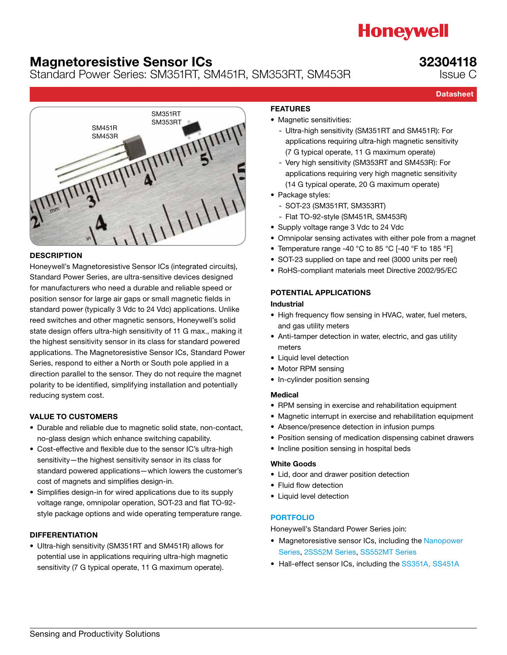# **Honeywell**

### Magnetoresistive Sensor ICs

Standard Power Series: SM351RT, SM451R, SM353RT, SM453R

### 32304118

Issue C

**Datasheet** 



#### **DESCRIPTION**

Honeywell's Magnetoresistive Sensor ICs (integrated circuits), Standard Power Series, are ultra-sensitive devices designed for manufacturers who need a durable and reliable speed or position sensor for large air gaps or small magnetic fields in standard power (typically 3 Vdc to 24 Vdc) applications. Unlike reed switches and other magnetic sensors, Honeywell's solid state design offers ultra-high sensitivity of 11 G max., making it the highest sensitivity sensor in its class for standard powered applications. The Magnetoresistive Sensor ICs, Standard Power Series, respond to either a North or South pole applied in a direction parallel to the sensor. They do not require the magnet polarity to be identified, simplifying installation and potentially reducing system cost.

#### VALUE TO CUSTOMERS

- Durable and reliable due to magnetic solid state, non-contact, no-glass design which enhance switching capability.
- Cost-effective and flexible due to the sensor IC's ultra-high sensitivity—the highest sensitivity sensor in its class for standard powered applications—which lowers the customer's cost of magnets and simplifies design-in.
- Simplifies design-in for wired applications due to its supply voltage range, omnipolar operation, SOT-23 and flat TO-92 style package options and wide operating temperature range.

#### DIFFERENTIATION

• Ultra-high sensitivity (SM351RT and SM451R) allows for potential use in applications requiring ultra-high magnetic sensitivity (7 G typical operate, 11 G maximum operate).

#### FEATURES

- Magnetic sensitivities:
	- Ultra-high sensitivity (SM351RT and SM451R): For applications requiring ultra-high magnetic sensitivity (7 G typical operate, 11 G maximum operate)
	- Very high sensitivity (SM353RT and SM453R): For applications requiring very high magnetic sensitivity (14 G typical operate, 20 G maximum operate)
- Package styles:
	- SOT-23 (SM351RT, SM353RT)
	- Flat TO-92-style (SM451R, SM453R)
- Supply voltage range 3 Vdc to 24 Vdc
- Omnipolar sensing activates with either pole from a magnet
- Temperature range -40 °C to 85 °C [-40 °F to 185 °F]
- SOT-23 supplied on tape and reel (3000 units per reel)
- RoHS-compliant materials meet Directive 2002/95/EC

#### POTENTIAL APPLICATIONS

#### Industrial

- High frequency flow sensing in HVAC, water, fuel meters, and gas utility meters
- Anti-tamper detection in water, electric, and gas utility meters
- Liquid level detection
- Motor RPM sensing
- In-cylinder position sensing

#### Medical

- RPM sensing in exercise and rehabilitation equipment
- Magnetic interrupt in exercise and rehabilitation equipment
- Absence/presence detection in infusion pumps
- Position sensing of medication dispensing cabinet drawers
- Incline position sensing in hospital beds

#### White Goods

- Lid, door and drawer position detection
- Fluid flow detection
- Liquid level detection

#### [PORTFOLIO](http://sensing.honeywell.com/index.php?ci_id=144700)

Honeywell's Standard Power Series join:

- Magnetoresistive sensor ICs, including the [Nanopower](http://sensing.honeywell.com/index.php?ci_id=149711)  [Series,](http://sensing.honeywell.com/index.php?ci_id=149711) [2SS52M Series](http://sensing.honeywell.com/index.php?ci_id=50348), [SS552MT Series](http://sensing.honeywell.com/index.php?ci_id=50362)
- Hall-effect sensor ICs, including the [SS351A, SS451A](http://sensing.honeywell.com/index.php?ci_id=45443)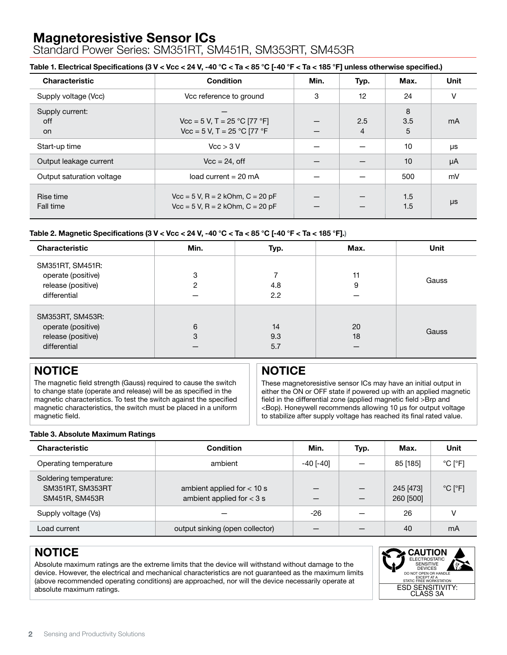Standard Power Series: SM351RT, SM451R, SM353RT, SM453R

#### Table 1. Electrical Specifications (3 V < Vcc < 24 V, -40 °C < Ta < 85 °C [-40 °F < Ta < 185 °F] unless otherwise specified.)

| <b>Characteristic</b>        | <b>Condition</b>                                                                             | Min. | Typ.     | Max.          | <b>Unit</b> |
|------------------------------|----------------------------------------------------------------------------------------------|------|----------|---------------|-------------|
| Supply voltage (Vcc)         | Vcc reference to ground                                                                      | 3    | 12       | 24            | V           |
| Supply current:<br>off<br>on | $\text{Vcc} = 5 \text{ V}, T = 25 \text{ °C} [77 \text{ °F}]$<br>Vcc = 5 V, T = 25 °C [77 °F |      | 2.5<br>4 | 8<br>3.5<br>5 | mA          |
| Start-up time                | Vcc > 3 V                                                                                    |      |          | 10            | μs          |
| Output leakage current       | $Vcc = 24$ , off                                                                             |      |          | 10            | $\mu A$     |
| Output saturation voltage    | load current = $20 \text{ mA}$                                                               |      |          | 500           | mV          |
| Rise time<br>Fall time       | $Vcc = 5 V$ , R = 2 kOhm, C = 20 pF<br>$Vcc = 5$ V, R = 2 kOhm, $C = 20$ pF                  |      |          | 1.5<br>1.5    | μs          |

#### Table 2. Magnetic Specifications (3 V < Vcc < 24 V, -40  $^{\circ}$ C < Ta < 85  $^{\circ}$ C [-40  $^{\circ}$ F < Ta < 185  $^{\circ}$ F].)

| <b>Characteristic</b>                                                        | Min.   | Typ.             | Max.          | <b>Unit</b> |
|------------------------------------------------------------------------------|--------|------------------|---------------|-------------|
| SM351RT, SM451R:<br>operate (positive)<br>release (positive)<br>differential | 3<br>2 | 4.8<br>2.2       | 11<br>9       | Gauss       |
| SM353RT, SM453R:<br>operate (positive)<br>release (positive)<br>differential | 6<br>3 | 14<br>9.3<br>5.7 | 20<br>18<br>– | Gauss       |

### **NOTICE**

The magnetic field strength (Gauss) required to cause the switch to change state (operate and release) will be as specified in the magnetic characteristics. To test the switch against the specified magnetic characteristics, the switch must be placed in a uniform magnetic field.

### **NOTICE**

These magnetoresistive sensor ICs may have an initial output in either the ON or OFF state if powered up with an applied magnetic field in the differential zone (applied magnetic field >Brp and <Bop). Honeywell recommends allowing 10 μs for output voltage to stabilize after supply voltage has reached its final rated value.

#### Table 3. Absolute Maximum Ratings

| <b>Characteristic</b>                                        | <b>Condition</b>                                            | Min.      | Typ. | Max.                   | Unit                         |
|--------------------------------------------------------------|-------------------------------------------------------------|-----------|------|------------------------|------------------------------|
| Operating temperature                                        | ambient                                                     | -40 [-40] |      | 85 [185]               | $^{\circ}$ C [ $^{\circ}$ F] |
| Soldering temperature:<br>SM351RT, SM353RT<br>SM451R, SM453R | ambient applied for $<$ 10 s<br>ambient applied for $<$ 3 s |           | —    | 245 [473]<br>260 [500] | $^{\circ}$ C [ $^{\circ}$ F] |
| Supply voltage (Vs)                                          |                                                             | -26       |      | 26                     | v                            |
| Load current                                                 | output sinking (open collector)                             |           |      | 40                     | mA                           |

### **NOTICE**

Absolute maximum ratings are the extreme limits that the device will withstand without damage to the device. However, the electrical and mechanical characteristics are not guaranteed as the maximum limits (above recommended operating conditions) are approached, nor will the device necessarily operate at absolute maximum ratings.

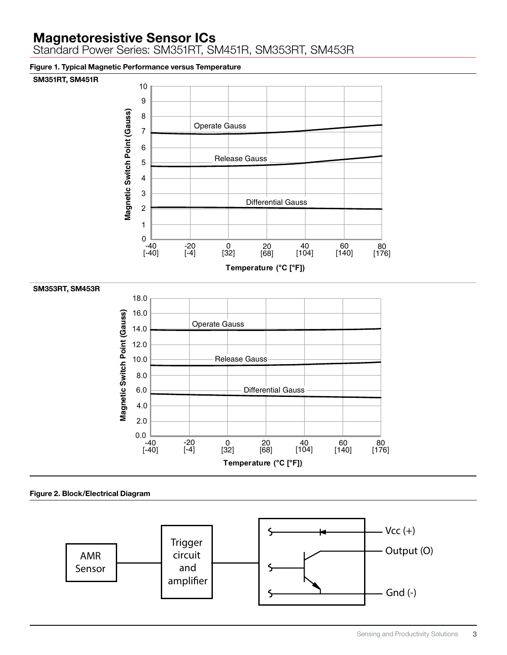Standard Power Series: SM351RT, SM451R, SM353RT, SM453R

Figure 1. Typical Magnetic Performance versus Temperature

#### SM351RT, SM451R



Figure 2. Block/Electrical Diagram

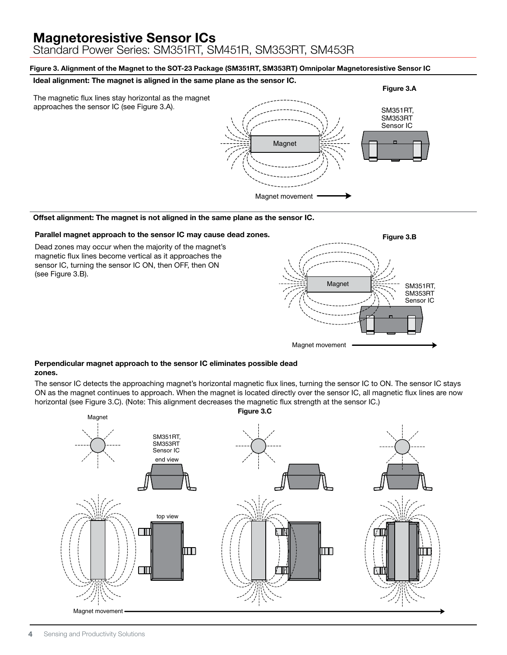Standard Power Series: SM351RT, SM451R, SM353RT, SM453R

#### Figure 3. Alignment of the Magnet to the SOT-23 Package (SM351RT, SM353RT) Omnipolar Magnetoresistive Sensor IC

#### Ideal alignment: The magnet is aligned in the same plane as the sensor IC.



#### Offset alignment: The magnet is not aligned in the same plane as the sensor IC.

#### Parallel magnet approach to the sensor IC may cause dead zones.

Dead zones may occur when the majority of the magnet's magnetic flux lines become vertical as it approaches the sensor IC, turning the sensor IC ON, then OFF, then ON (see Figure 3.B).



#### Perpendicular magnet approach to the sensor IC eliminates possible dead zones.

The sensor IC detects the approaching magnet's horizontal magnetic flux lines, turning the sensor IC to ON. The sensor IC stays ON as the magnet continues to approach. When the magnet is located directly over the sensor IC, all magnetic flux lines are now horizontal (see Figure 3.C). (Note: This alignment decreases the magnetic flux strength at the sensor IC.)

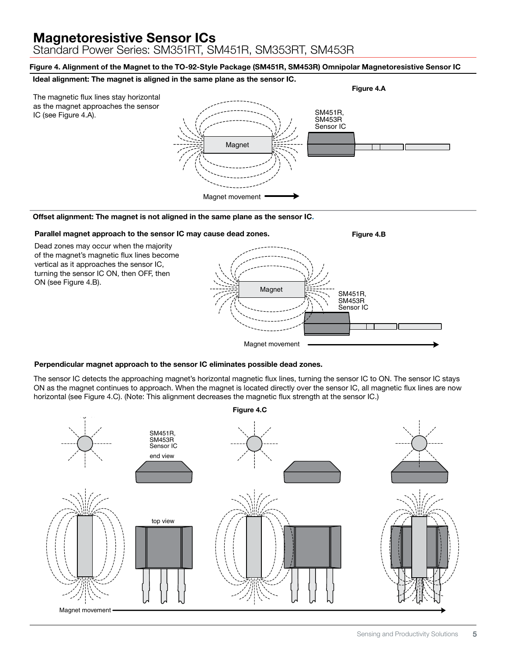Standard Power Series: SM351RT, SM451R, SM353RT, SM453R

Figure 4. Alignment of the Magnet to the TO-92-Style Package (SM451R, SM453R) Omnipolar Magnetoresistive Sensor IC

#### Ideal alignment: The magnet is aligned in the same plane as the sensor IC.



#### Offset alignment: The magnet is not aligned in the same plane as the sensor IC.



#### Perpendicular magnet approach to the sensor IC eliminates possible dead zones.

The sensor IC detects the approaching magnet's horizontal magnetic flux lines, turning the sensor IC to ON. The sensor IC stays ON as the magnet continues to approach. When the magnet is located directly over the sensor IC, all magnetic flux lines are now horizontal (see Figure 4.C). (Note: This alignment decreases the magnetic flux strength at the sensor IC.)

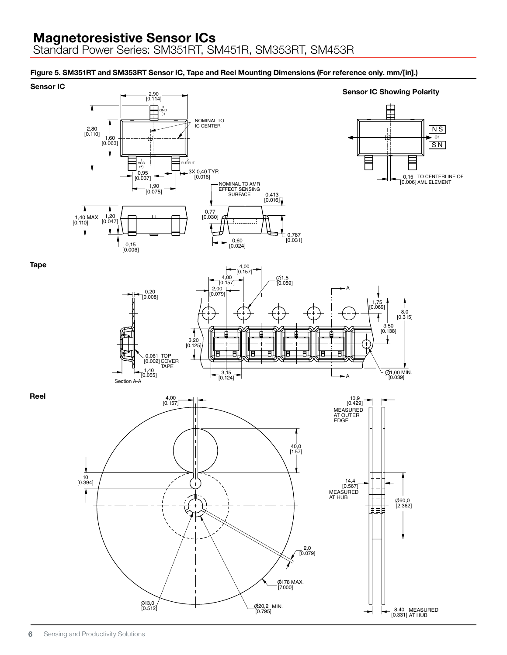Standard Power Series: SM351RT, SM451R, SM353RT, SM453R

### Figure 5. SM351RT and SM353RT Sensor IC, Tape and Reel Mounting Dimensions (For reference only. mm/[in].)

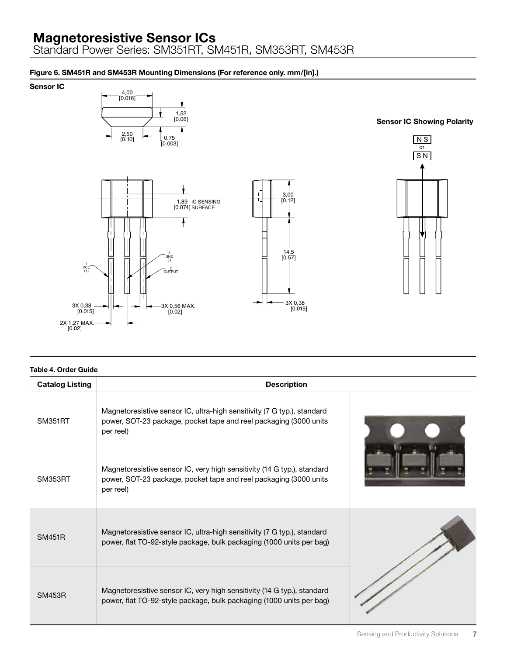Standard Power Series: SM351RT, SM451R, SM353RT, SM453R

### Figure 6. SM451R and SM453R Mounting Dimensions (For reference only. mm/[in].)

Sensor IC







#### Table 4. Order Guide

| <b>Catalog Listing</b> | <b>Description</b>                                                                                                                                        |  |
|------------------------|-----------------------------------------------------------------------------------------------------------------------------------------------------------|--|
| <b>SM351RT</b>         | Magnetoresistive sensor IC, ultra-high sensitivity (7 G typ.), standard<br>power, SOT-23 package, pocket tape and reel packaging (3000 units<br>per reel) |  |
| SM353RT                | Magnetoresistive sensor IC, very high sensitivity (14 G typ.), standard<br>power, SOT-23 package, pocket tape and reel packaging (3000 units<br>per reel) |  |
| <b>SM451R</b>          | Magnetoresistive sensor IC, ultra-high sensitivity (7 G typ.), standard<br>power, flat TO-92-style package, bulk packaging (1000 units per bag)           |  |
| <b>SM453R</b>          | Magnetoresistive sensor IC, very high sensitivity (14 G typ.), standard<br>power, flat TO-92-style package, bulk packaging (1000 units per bag)           |  |